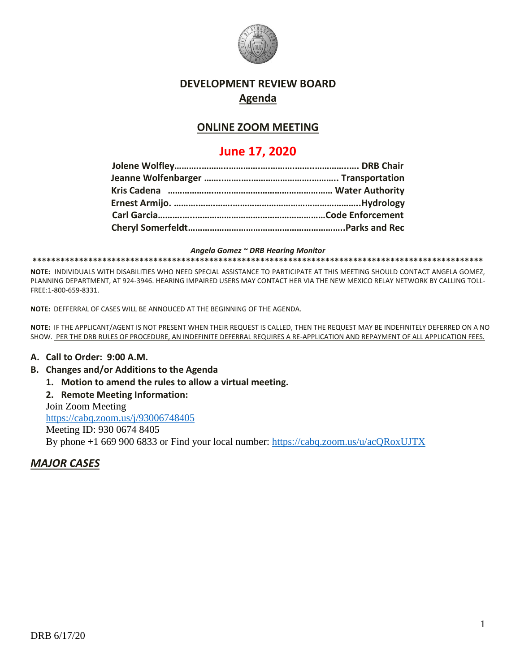

# **DEVELOPMENT REVIEW BOARD Agenda**

# **ONLINE ZOOM MEETING**

# **June 17, 2020**

*Angela Gomez ~ DRB Hearing Monitor* **\*\*\*\*\*\*\*\*\*\*\*\*\*\*\*\*\*\*\*\*\*\*\*\*\*\*\*\*\*\*\*\*\*\*\*\*\*\*\*\*\*\*\*\*\*\*\*\*\*\*\*\*\*\*\*\*\*\*\*\*\*\*\*\*\*\*\*\*\*\*\*\*\*\*\*\*\*\*\*\*\*\*\*\*\*\*\*\*\*\*\*\*\*\*\*\*\***

**NOTE:** INDIVIDUALS WITH DISABILITIES WHO NEED SPECIAL ASSISTANCE TO PARTICIPATE AT THIS MEETING SHOULD CONTACT ANGELA GOMEZ, PLANNING DEPARTMENT, AT 924-3946. HEARING IMPAIRED USERS MAY CONTACT HER VIA THE NEW MEXICO RELAY NETWORK BY CALLING TOLL-FREE:1-800-659-8331.

**NOTE:** DEFFERRAL OF CASES WILL BE ANNOUCED AT THE BEGINNING OF THE AGENDA.

**NOTE:** IF THE APPLICANT/AGENT IS NOT PRESENT WHEN THEIR REQUEST IS CALLED, THEN THE REQUEST MAY BE INDEFINITELY DEFERRED ON A NO SHOW. PER THE DRB RULES OF PROCEDURE, AN INDEFINITE DEFERRAL REQUIRES A RE-APPLICATION AND REPAYMENT OF ALL APPLICATION FEES.

#### **A. Call to Order: 9:00 A.M.**

- **B. Changes and/or Additions to the Agenda**
	- **1. Motion to amend the rules to allow a virtual meeting.**
	- **2. Remote Meeting Information:**

Join Zoom Meeting <https://cabq.zoom.us/j/93006748405>

Meeting ID: 930 0674 8405 By phone +1 669 900 6833 or Find your local number:<https://cabq.zoom.us/u/acQRoxUJTX>

### *MAJOR CASES*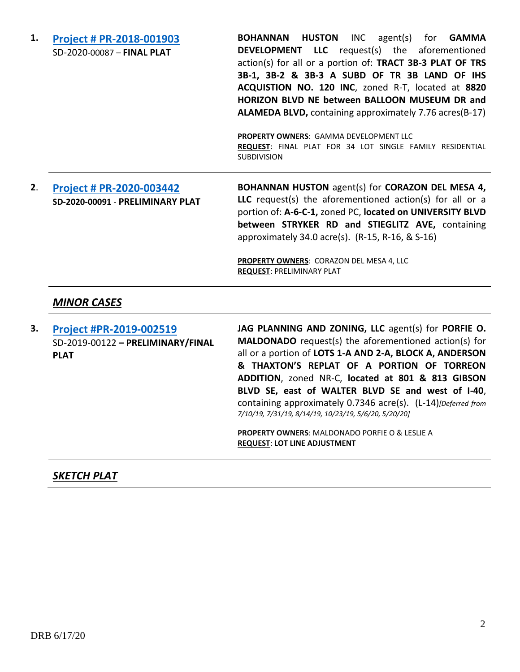**1. [Project # PR-2018-001903](http://data.cabq.gov/government/planning/DRB/PR-2018-001903/DRB%20Submittals/PR-2018-001903_June_17_2020/Application/Ascension%20SubdivisionFinal%20Plat%20DRB%20Submittal%20Package.pdf)** SD-2020-00087 – **FINAL PLAT BOHANNAN HUSTON** INC agent(s) for **GAMMA DEVELOPMENT LLC** request(s) the aforementioned action(s) for all or a portion of: **TRACT 3B-3 PLAT OF TRS 3B-1, 3B-2 & 3B-3 A SUBD OF TR 3B LAND OF IHS ACQUISTION NO. 120 INC**, zoned R-T, located at **8820 HORIZON BLVD NE between BALLOON MUSEUM DR and ALAMEDA BLVD,** containing approximately 7.76 acres(B-17) **PROPERTY OWNERS**: GAMMA DEVELOPMENT LLC **REQUEST**: FINAL PLAT FOR 34 LOT SINGLE FAMILY RESIDENTIAL SUBDIVISION **2**. **[Project # PR-2020-003442](http://data.cabq.gov/government/planning/DRB/PR-2020-003442/DRB%20Submittals/PR-2020-003442_Jun_17_2020/) SD-2020-00091** - **PRELIMINARY PLAT BOHANNAN HUSTON** agent(s) for **CORAZON DEL MESA 4, LLC** request(s) the aforementioned action(s) for all or a portion of: **A-6-C-1,** zoned PC, **located on UNIVERSITY BLVD between STRYKER RD and STIEGLITZ AVE,** containing approximately 34.0 acre(s). (R-15, R-16, & S-16) **PROPERTY OWNERS**: CORAZON DEL MESA 4, LLC **REQUEST**: PRELIMINARY PLAT *MINOR CASES* **3. [Project #PR-2019-002519](http://data.cabq.gov/government/planning/DRB/PR-2019-002519/DRB%20Submittals/PR-2019-002519_May_20_2020_Supp/Application/Supplemental%20PR-2019-002519.pdf)** SD-2019-00122 **– PRELIMINARY/FINAL JAG PLANNING AND ZONING, LLC** agent(s) for **PORFIE O. MALDONADO** request(s) the aforementioned action(s) for

**PLAT**

all or a portion of **LOTS 1-A AND 2-A, BLOCK A, ANDERSON & THAXTON'S REPLAT OF A PORTION OF TORREON ADDITION**, zoned NR-C, **located at 801 & 813 GIBSON BLVD SE, east of WALTER BLVD SE and west of I-40**, containing approximately 0.7346 acre(s). (L-14)*[Deferred from 7/10/19, 7/31/19, 8/14/19, 10/23/19, 5/6/20, 5/20/20]*

**PROPERTY OWNERS**: MALDONADO PORFIE O & LESLIE A **REQUEST**: **LOT LINE ADJUSTMENT**

# *SKETCH PLAT*